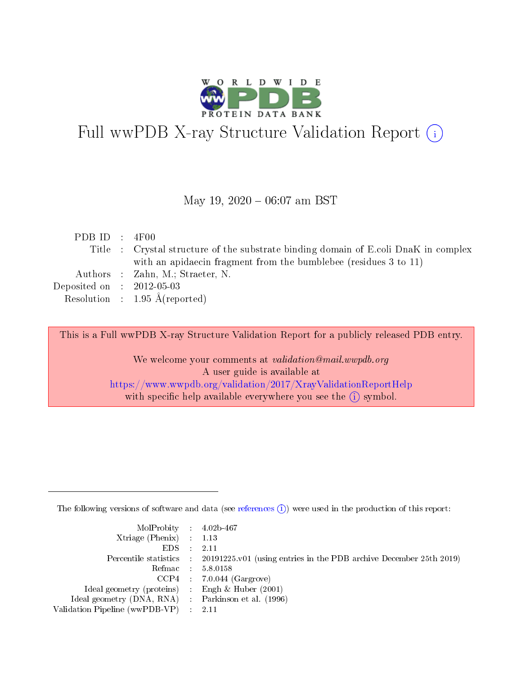

# Full wwPDB X-ray Structure Validation Report (i)

#### May 19,  $2020 - 06:07$  am BST

| PDB ID : $4F00$             |                                                                                     |
|-----------------------------|-------------------------------------------------------------------------------------|
|                             | Title : Crystal structure of the substrate binding domain of E.coli DnaK in complex |
|                             | with an apidation fragment from the bumblebee (residues 3 to 11)                    |
|                             | Authors : Zahn, M.; Straeter, N.                                                    |
| Deposited on : $2012-05-03$ |                                                                                     |
|                             | Resolution : $1.95 \text{ Å}$ (reported)                                            |
|                             |                                                                                     |

This is a Full wwPDB X-ray Structure Validation Report for a publicly released PDB entry.

We welcome your comments at validation@mail.wwpdb.org A user guide is available at <https://www.wwpdb.org/validation/2017/XrayValidationReportHelp> with specific help available everywhere you see the  $(i)$  symbol.

The following versions of software and data (see [references](https://www.wwpdb.org/validation/2017/XrayValidationReportHelp#references)  $(i)$ ) were used in the production of this report:

| $MolProbability$ 4.02b-467                          |                                                                                            |
|-----------------------------------------------------|--------------------------------------------------------------------------------------------|
| Xtriage (Phenix) $: 1.13$                           |                                                                                            |
| $EDS$ :                                             | -2.11                                                                                      |
|                                                     | Percentile statistics : 20191225.v01 (using entries in the PDB archive December 25th 2019) |
|                                                     | Refmac : 5.8.0158                                                                          |
|                                                     | $CCP4$ : 7.0.044 (Gargrove)                                                                |
| Ideal geometry (proteins) : Engh $\&$ Huber (2001)  |                                                                                            |
| Ideal geometry (DNA, RNA) : Parkinson et al. (1996) |                                                                                            |
| Validation Pipeline (wwPDB-VP)                      | -2.11                                                                                      |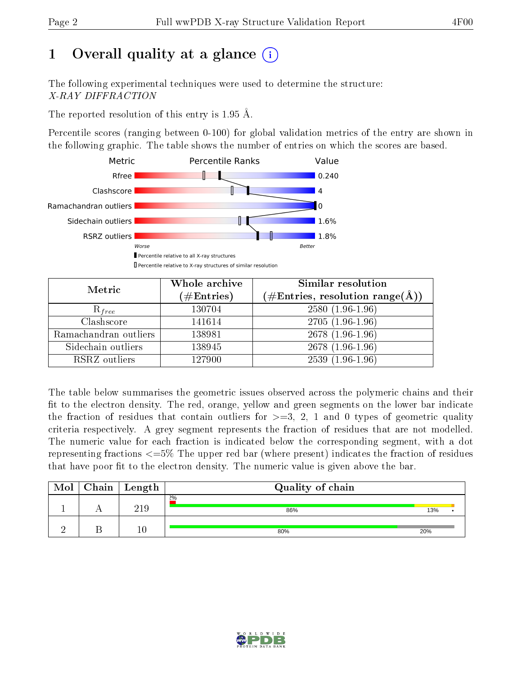# 1 [O](https://www.wwpdb.org/validation/2017/XrayValidationReportHelp#overall_quality)verall quality at a glance  $(i)$

The following experimental techniques were used to determine the structure: X-RAY DIFFRACTION

The reported resolution of this entry is 1.95 Å.

Percentile scores (ranging between 0-100) for global validation metrics of the entry are shown in the following graphic. The table shows the number of entries on which the scores are based.



| Metric                | Whole archive<br>$(\#\mathrm{Entries})$ | Similar resolution<br>$(\#\text{Entries},\,\text{resolution}\,\,\text{range}(\textup{\AA}))$ |
|-----------------------|-----------------------------------------|----------------------------------------------------------------------------------------------|
| $R_{free}$            | 130704                                  | $2580(1.96-1.96)$                                                                            |
| Clashscore            | 141614                                  | $2705(1.96-1.96)$                                                                            |
| Ramachandran outliers | 138981                                  | 2678 (1.96-1.96)                                                                             |
| Sidechain outliers    | 138945                                  | $2678(1.96-1.96)$                                                                            |
| RSRZ outliers         | 127900                                  | $2539(1.96-1.96)$                                                                            |

The table below summarises the geometric issues observed across the polymeric chains and their fit to the electron density. The red, orange, yellow and green segments on the lower bar indicate the fraction of residues that contain outliers for  $>=3, 2, 1$  and 0 types of geometric quality criteria respectively. A grey segment represents the fraction of residues that are not modelled. The numeric value for each fraction is indicated below the corresponding segment, with a dot representing fractions  $\epsilon=5\%$  The upper red bar (where present) indicates the fraction of residues that have poor fit to the electron density. The numeric value is given above the bar.

| Mol | Chain   Length | Quality of chain |     |  |  |  |  |
|-----|----------------|------------------|-----|--|--|--|--|
|     | 219            | 2%<br>86%        | 13% |  |  |  |  |
|     | $\left($       | 80%              | 20% |  |  |  |  |

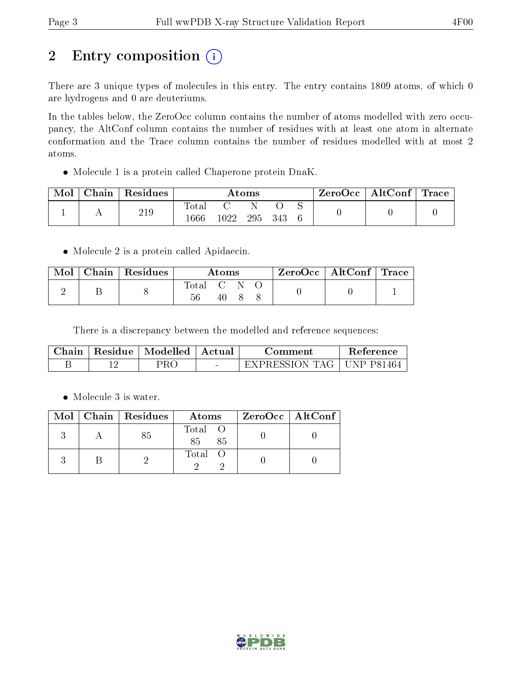# 2 Entry composition (i)

There are 3 unique types of molecules in this entry. The entry contains 1809 atoms, of which 0 are hydrogens and 0 are deuteriums.

In the tables below, the ZeroOcc column contains the number of atoms modelled with zero occupancy, the AltConf column contains the number of residues with at least one atom in alternate conformation and the Trace column contains the number of residues modelled with at most 2 atoms.

Molecule 1 is a protein called Chaperone protein DnaK.

| Mol | Chain | $\perp$ Residues | Atoms                  |      |     | $\text{ZeroOcc} \mid \text{AltConf} \mid \text{Trace}$ |  |  |  |
|-----|-------|------------------|------------------------|------|-----|--------------------------------------------------------|--|--|--|
|     |       | 219              | $\text{Total}$<br>1666 | 1022 | 295 | - 343                                                  |  |  |  |

• Molecule 2 is a protein called Apidaecin.

| Mol | $\parallel$ Chain   Residues | Atoms     |     |  |  | $\text{ZeroOcc} \mid \text{AltConf} \mid \text{Trace}$ |  |
|-----|------------------------------|-----------|-----|--|--|--------------------------------------------------------|--|
|     |                              | Total C N | 40. |  |  |                                                        |  |

There is a discrepancy between the modelled and reference sequences:

|  | Chain   Residue   Modelled   Actual | Comment                     | <b>Reference</b> |
|--|-------------------------------------|-----------------------------|------------------|
|  | 2R C                                | EXPRESSION TAG   UNP P81464 |                  |

• Molecule 3 is water.

|  | $Mol$   Chain   Residues | Atoms               | ZeroOcc   AltConf |
|--|--------------------------|---------------------|-------------------|
|  | 85                       | Total O<br>85<br>85 |                   |
|  |                          | Total O             |                   |

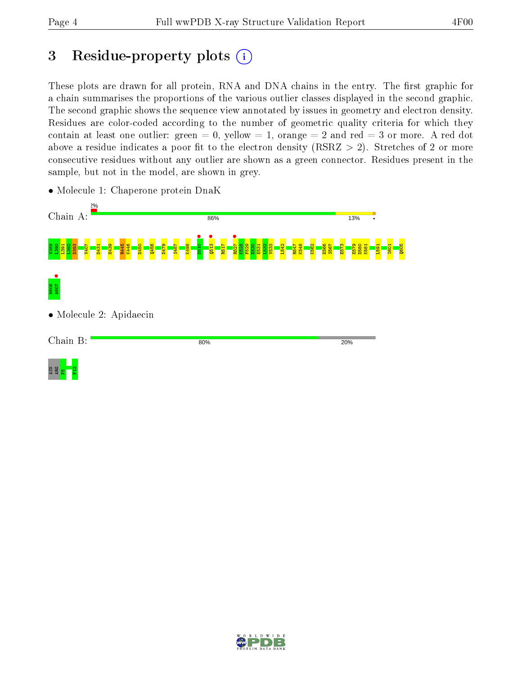# 3 Residue-property plots  $(i)$

These plots are drawn for all protein, RNA and DNA chains in the entry. The first graphic for a chain summarises the proportions of the various outlier classes displayed in the second graphic. The second graphic shows the sequence view annotated by issues in geometry and electron density. Residues are color-coded according to the number of geometric quality criteria for which they contain at least one outlier: green  $= 0$ , yellow  $= 1$ , orange  $= 2$  and red  $= 3$  or more. A red dot above a residue indicates a poor fit to the electron density (RSRZ  $> 2$ ). Stretches of 2 or more consecutive residues without any outlier are shown as a green connector. Residues present in the sample, but not in the model, are shown in grey.



• Molecule 1: Chaperone protein DnaK

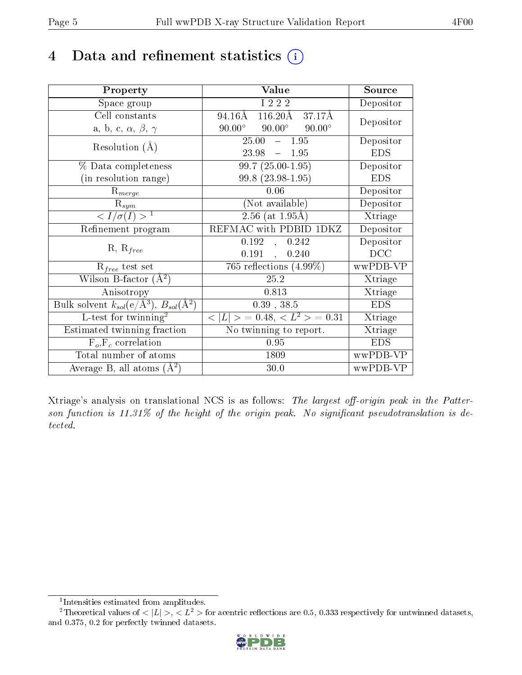## 4 Data and refinement statistics  $(i)$

| Property                                                         | Value                                              | Source     |
|------------------------------------------------------------------|----------------------------------------------------|------------|
| Space group                                                      | I 2 2 2                                            | Depositor  |
| Cell constants                                                   | $116.20\text{\AA}$<br>94.16Å<br>37.17Å             | Depositor  |
| a, b, c, $\alpha$ , $\beta$ , $\gamma$                           | $90.00^{\circ}$ $90.00^{\circ}$<br>$90.00^{\circ}$ |            |
| Resolution $(A)$                                                 | $25.00 - 1.95$                                     | Depositor  |
|                                                                  | 23.98<br>$-1.95$                                   | <b>EDS</b> |
| % Data completeness                                              | $99.7(25.00-1.95)$                                 | Depositor  |
| (in resolution range)                                            | 99.8 (23.98-1.95)                                  | <b>EDS</b> |
| $R_{merge}$                                                      | 0.06                                               | Depositor  |
| $\mathrm{R}_{sym}$                                               | (Not available)                                    | Depositor  |
| $\langle I/\sigma(I) \rangle$ <sup>1</sup>                       | $2.56$ (at $1.95\text{\AA}$ )                      | Xtriage    |
| Refinement program                                               | REFMAC with PDBID 1DKZ                             | Depositor  |
|                                                                  | 0.192<br>0.242<br>$\frac{1}{2}$                    | Depositor  |
| $R, R_{free}$                                                    | 0.191<br>0.240<br>$\ddot{\phantom{a}}$             | DCC        |
| $\mathcal{R}_{free}$ test set                                    | 765 reflections $(4.99\%)$                         | wwPDB-VP   |
| Wilson B-factor $(A^2)$                                          | 25.2                                               | Xtriage    |
| Anisotropy                                                       | 0.813                                              | Xtriage    |
| Bulk solvent $k_{sol}(\text{e}/\text{A}^3), B_{sol}(\text{A}^2)$ | $0.39$ , $38.5$                                    | <b>EDS</b> |
| L-test for $\mathrm{twinning}^2$                                 | $< L >$ = 0.48, $< L2 >$ = 0.31                    | Xtriage    |
| Estimated twinning fraction                                      | $\overline{\text{No}}$ twinning to report.         | Xtriage    |
| $F_o, F_c$ correlation                                           | 0.95                                               | <b>EDS</b> |
| Total number of atoms                                            | 1809                                               | wwPDB-VP   |
| Average B, all atoms $(A^2)$                                     | 30.0                                               | wwPDB-VP   |

Xtriage's analysis on translational NCS is as follows: The largest off-origin peak in the Patterson function is  $11.31\%$  of the height of the origin peak. No significant pseudotranslation is detected.

<sup>&</sup>lt;sup>2</sup>Theoretical values of  $\langle |L| \rangle$ ,  $\langle L^2 \rangle$  for acentric reflections are 0.5, 0.333 respectively for untwinned datasets, and 0.375, 0.2 for perfectly twinned datasets.



<span id="page-4-1"></span><span id="page-4-0"></span><sup>1</sup> Intensities estimated from amplitudes.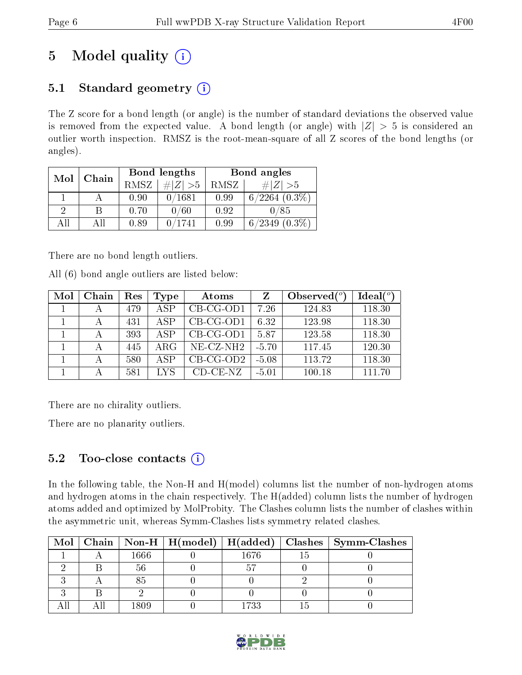# 5 Model quality  $(i)$

## 5.1 Standard geometry  $(i)$

The Z score for a bond length (or angle) is the number of standard deviations the observed value is removed from the expected value. A bond length (or angle) with  $|Z| > 5$  is considered an outlier worth inspection. RMSZ is the root-mean-square of all Z scores of the bond lengths (or angles).

| Mol | Chain |      | Bond lengths | Bond angles |                     |  |
|-----|-------|------|--------------|-------------|---------------------|--|
|     |       | RMSZ | # $ Z >5$    | RMSZ        | # $ Z  > 5$         |  |
|     |       | 0.90 | 0/1681       | 0.99        | $6/2264$ $(0.3\%)$  |  |
| 9   | В     | 0.70 | 0/60         | 0.92        | 0/85                |  |
| ΑH  | ΑH    | 0.89 | 0/1741       | 0.99        | $(0.3\%)$<br>6/2349 |  |

There are no bond length outliers.

All (6) bond angle outliers are listed below:

| Mol | Chain | Res | Type       | Atoms              |         | Observed $(^\circ)$ | Ideal $(°)$ |
|-----|-------|-----|------------|--------------------|---------|---------------------|-------------|
|     |       | 479 | A SP       | $CB-CG-OD1$        | 7.26    | 124.83              | 118.30      |
|     |       | 431 | A SP       | $CB-CG-OD1$        | 6.32    | 123.98              | 118.30      |
|     |       | 393 | A SP       | $CB-CG-OD1$        | 5.87    | 123.58              | 118.30      |
|     |       | 445 | $\rm{ARG}$ | $NE- CZ-NH2$       | $-5.70$ | 117.45              | 120.30      |
|     |       | 580 | A SP       | $CB-CG-OD2$        | $-5.08$ | 113.72              | 118.30      |
|     |       | 581 | LYS        | $CD$ - $CE$ - $NZ$ | $-5.01$ | 100.18              | 111 70      |

There are no chirality outliers.

There are no planarity outliers.

### 5.2 Too-close contacts  $(i)$

In the following table, the Non-H and H(model) columns list the number of non-hydrogen atoms and hydrogen atoms in the chain respectively. The H(added) column lists the number of hydrogen atoms added and optimized by MolProbity. The Clashes column lists the number of clashes within the asymmetric unit, whereas Symm-Clashes lists symmetry related clashes.

|  |      | Mol   Chain   Non-H   H(model)   H(added) |      | $\mid$ Clashes $\mid$ Symm-Clashes |
|--|------|-------------------------------------------|------|------------------------------------|
|  | 1666 |                                           | 1676 |                                    |
|  |      |                                           |      |                                    |
|  |      |                                           |      |                                    |
|  |      |                                           |      |                                    |
|  | 1809 |                                           | 1733 |                                    |

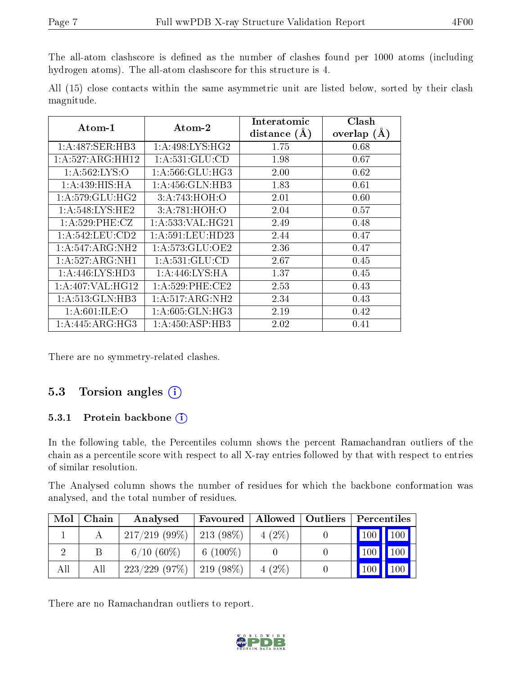The all-atom clashscore is defined as the number of clashes found per 1000 atoms (including hydrogen atoms). The all-atom clashscore for this structure is 4.

All (15) close contacts within the same asymmetric unit are listed below, sorted by their clash magnitude.

| Atom-1             | $Atom-2$                     | Interatomic    | Clash         |  |
|--------------------|------------------------------|----------------|---------------|--|
|                    |                              | distance $(A)$ | overlap $(A)$ |  |
| 1:A:487:SER:HB3    | 1: A:498: LYS: HG2           | 1.75           | 0.68          |  |
| 1:A:527:ARG:HH12   | 1:A:531:GLU:CD               | 1.98           | 0.67          |  |
| 1: A: 562: LYS: O  | 1: A:566: GLU:HG3            | 2.00           | 0.62          |  |
| 1: A:439:HIS:HA    | 1: A: 456: GLN: HB3          | 1.83           | 0.61          |  |
| 1:A:579:GLU:HG2    | 3:A:743:HOH:O                | 2.01           | 0.60          |  |
| 1: A:548: LYS: HE2 | 3:A:781:HOH:O                | 2.04           | 0.57          |  |
| 1: A:529: PHE: CZ  | 1: A: 533: VAL: HG21         | 2.49           | 0.48          |  |
| 1: A:542:LEU:CD2   | 1: A:591:LEU:HD23            | 2.44           | 0.47          |  |
| 1: A:547: ARG: NH2 | 1: A: 573: GLU: OE2          | 2.36           | 0.47          |  |
| 1:A:527:ARG:NH1    | 1:A:531:GLU:CD               | 2.67           | 0.45          |  |
| 1: A:446: LYS: HD3 | 1: A:446: LYS: HA            | 1.37           | 0.45          |  |
| 1:A:407:VAL:HG12   | 1: A:529: PHE:CE2            | 2.53           | 0.43          |  |
| 1:A:513:GLN:HB3    | $1:A:517:ARG:\overline{NH2}$ | 2.34           | 0.43          |  |
| 1: A:601: ILE: O   | 1: A:605: GLN: HG3           | 2.19           | 0.42          |  |
| 1:A:445:ARG:HG3    | 1:A:450:ASP:HB3              | 2.02           | 0.41          |  |

There are no symmetry-related clashes.

### 5.3 Torsion angles (i)

#### 5.3.1 Protein backbone  $(i)$

In the following table, the Percentiles column shows the percent Ramachandran outliers of the chain as a percentile score with respect to all X-ray entries followed by that with respect to entries of similar resolution.

The Analysed column shows the number of residues for which the backbone conformation was analysed, and the total number of residues.

| Mol | Chain | Analysed         | Favoured        | Allowed   Outliers | Percentiles                |             |
|-----|-------|------------------|-----------------|--------------------|----------------------------|-------------|
|     |       | $217/219$ (99\%) | $213(98\%)$     | $4(2\%)$           | $\vert$ 100 $\vert$        | $\vert$ 100 |
|     |       | $6/10(60\%)$     | $6(100\%)$      |                    | 100                        | 100         |
| All | All   | $223/229$ (97\%) | $\pm 219(98\%)$ | $4(2\%)$           | $^{\prime}$ 100 $_{\odot}$ | 100         |

There are no Ramachandran outliers to report.

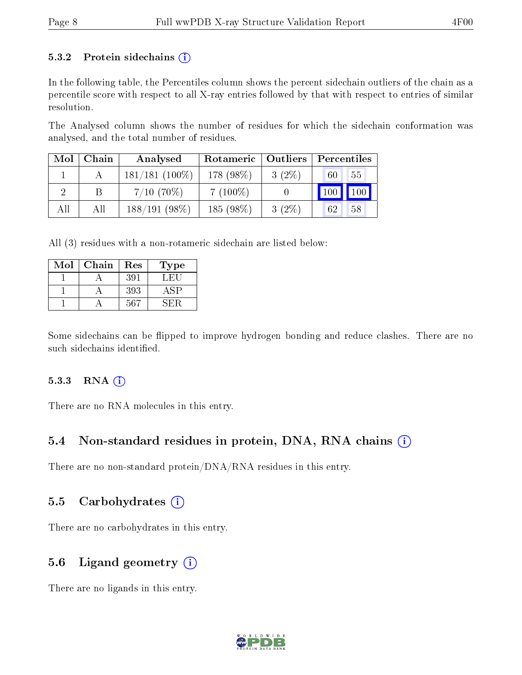#### 5.3.2 Protein sidechains  $(i)$

In the following table, the Percentiles column shows the percent sidechain outliers of the chain as a percentile score with respect to all X-ray entries followed by that with respect to entries of similar resolution.

The Analysed column shows the number of residues for which the sidechain conformation was analysed, and the total number of residues.

| Mol | Chain | Analysed          | Rotameric   Outliers |          | Percentiles                  |                         |
|-----|-------|-------------------|----------------------|----------|------------------------------|-------------------------|
|     |       | $181/181$ (100\%) | 178 (98%)            | $3(2\%)$ | 60                           | 55                      |
|     |       | $7/10$ (70\%)     | $7(100\%)$           |          | $\overline{100}$ $^{\prime}$ | $^{\prime}$ 100 $\vert$ |
| All | All   | $188/191(98\%)$   | 185 (98%)            | $3(2\%)$ | 62                           | 58                      |

All (3) residues with a non-rotameric sidechain are listed below:

| Mol | Chain | Res | Type |
|-----|-------|-----|------|
|     |       | 391 | LEU  |
|     |       | 393 | 4SP  |
|     |       | 567 | SE:R |

Some sidechains can be flipped to improve hydrogen bonding and reduce clashes. There are no such sidechains identified.

#### 5.3.3 RNA (i)

There are no RNA molecules in this entry.

#### 5.4 Non-standard residues in protein, DNA, RNA chains  $(i)$

There are no non-standard protein/DNA/RNA residues in this entry.

#### 5.5 Carbohydrates  $(i)$

There are no carbohydrates in this entry.

#### 5.6 Ligand geometry  $(i)$

There are no ligands in this entry.

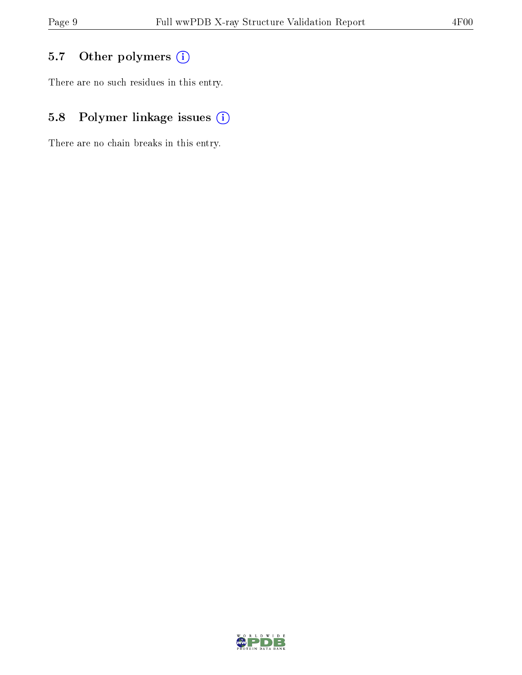## 5.7 [O](https://www.wwpdb.org/validation/2017/XrayValidationReportHelp#nonstandard_residues_and_ligands)ther polymers (i)

There are no such residues in this entry.

## 5.8 Polymer linkage issues (i)

There are no chain breaks in this entry.